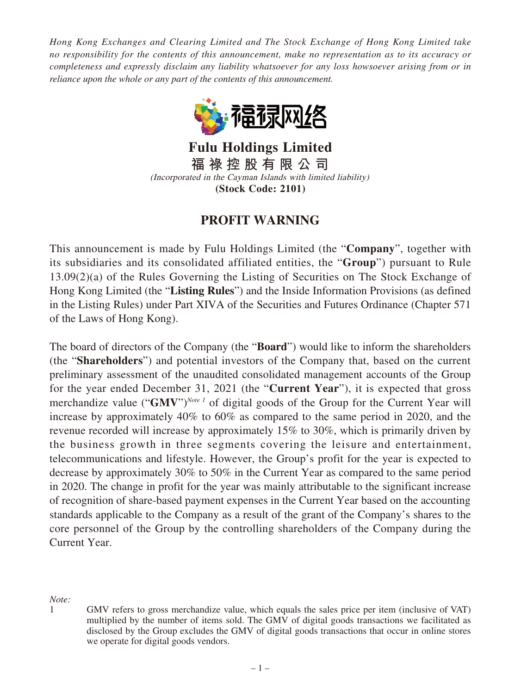*Hong Kong Exchanges and Clearing Limited and The Stock Exchange of Hong Kong Limited take no responsibility for the contents of this announcement, make no representation as to its accuracy or completeness and expressly disclaim any liability whatsoever for any loss howsoever arising from or in reliance upon the whole or any part of the contents of this announcement.*



**Fulu Holdings Limited 福 祿 控 股 有 限 公 司** (Incorporated in the Cayman Islands with limited liability) **(Stock Code: 2101)**

## **PROFIT WARNING**

This announcement is made by Fulu Holdings Limited (the "**Company**", together with its subsidiaries and its consolidated affiliated entities, the "**Group**") pursuant to Rule 13.09(2)(a) of the Rules Governing the Listing of Securities on The Stock Exchange of Hong Kong Limited (the "**Listing Rules**") and the Inside Information Provisions (as defined in the Listing Rules) under Part XIVA of the Securities and Futures Ordinance (Chapter 571 of the Laws of Hong Kong).

The board of directors of the Company (the "**Board**") would like to inform the shareholders (the "**Shareholders**") and potential investors of the Company that, based on the current preliminary assessment of the unaudited consolidated management accounts of the Group for the year ended December 31, 2021 (the "**Current Year**"), it is expected that gross merchandize value ("**GMV**")*Note 1* of digital goods of the Group for the Current Year will increase by approximately 40% to 60% as compared to the same period in 2020, and the revenue recorded will increase by approximately 15% to 30%, which is primarily driven by the business growth in three segments covering the leisure and entertainment, telecommunications and lifestyle. However, the Group's profit for the year is expected to decrease by approximately 30% to 50% in the Current Year as compared to the same period in 2020. The change in profit for the year was mainly attributable to the significant increase of recognition of share-based payment expenses in the Current Year based on the accounting standards applicable to the Company as a result of the grant of the Company's shares to the core personnel of the Group by the controlling shareholders of the Company during the Current Year.

*Note:*

<sup>1</sup> GMV refers to gross merchandize value, which equals the sales price per item (inclusive of VAT) multiplied by the number of items sold. The GMV of digital goods transactions we facilitated as disclosed by the Group excludes the GMV of digital goods transactions that occur in online stores we operate for digital goods vendors.